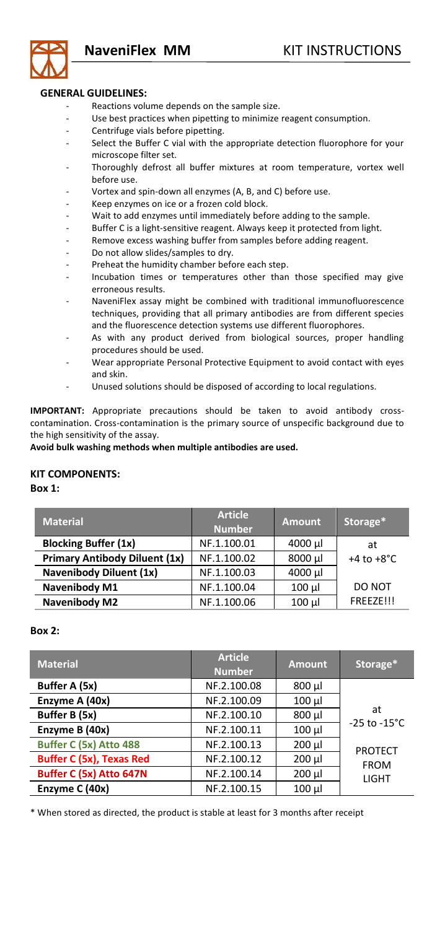

## **GENERAL GUIDELINES:**

- Reactions volume depends on the sample size.
- Use best practices when pipetting to minimize reagent consumption.
- Centrifuge vials before pipetting.
- Select the Buffer C vial with the appropriate detection fluorophore for your microscope filter set.
- Thoroughly defrost all buffer mixtures at room temperature, vortex well before use.
- Vortex and spin-down all enzymes (A, B, and C) before use.
- Keep enzymes on ice or a frozen cold block.<br>Wait to add enzymes until immediately before
- Wait to add enzymes until immediately before adding to the sample.
- Buffer C is a light-sensitive reagent. Always keep it protected from light.<br>Remove excess washing buffer from samples before adding reagent
- Remove excess washing buffer from samples before adding reagent.
- Do not allow slides/samples to dry.
- Preheat the humidity chamber before each step.
- Incubation times or temperatures other than those specified may give erroneous results.
- NaveniFlex assay might be combined with traditional immunofluorescence techniques, providing that all primary antibodies are from different species and the fluorescence detection systems use different fluorophores.
- As with any product derived from biological sources, proper handling procedures should be used.
- Wear appropriate Personal Protective Equipment to avoid contact with eyes and skin.
- Unused solutions should be disposed of according to local regulations.

**IMPORTANT:** Appropriate precautions should be taken to avoid antibody crosscontamination. Cross-contamination is the primary source of unspecific background due to the high sensitivity of the assay.

## **Avoid bulk washing methods when multiple antibodies are used.**

## **KIT COMPONENTS:**

**Box 1:** 

| <b>Material</b>                      | <b>Article</b><br><b>Number</b> | <b>Amount</b> | Storage*               |
|--------------------------------------|---------------------------------|---------------|------------------------|
| <b>Blocking Buffer (1x)</b>          | NF.1.100.01                     | 4000 µl       | at                     |
| <b>Primary Antibody Diluent (1x)</b> | NF.1.100.02                     | 8000 µl       | $+4$ to $+8^{\circ}$ C |
| <b>Navenibody Diluent (1x)</b>       | NF.1.100.03                     | 4000 µl       |                        |
| Navenibody M1                        | NF.1.100.04                     | 100 µl        | DO NOT                 |
| Navenibody M2                        | NF.1.100.06                     | 100 µl        | FREEZE!!!              |

## **Box 2:**

| <b>Material</b>                 | <b>Article</b><br>Number | <b>Amount</b> | Storage*                       |
|---------------------------------|--------------------------|---------------|--------------------------------|
| Buffer A (5x)                   | NF.2.100.08              | 800 µl        |                                |
| Enzyme A (40x)                  | NF.2.100.09              | 100 µl        |                                |
| Buffer B (5x)                   | NF.2.100.10              | 800 µl        | at<br>$-25$ to $-15^{\circ}$ C |
| Enzyme B (40x)                  | NF.2.100.11              | 100 µl        |                                |
| Buffer C (5x) Atto 488          | NF.2.100.13              | 200 µl        | <b>PROTECT</b>                 |
| <b>Buffer C (5x), Texas Red</b> | NF.2.100.12              | 200 µl        | <b>FROM</b>                    |
| Buffer C (5x) Atto 647N         | NF.2.100.14              | 200 µl        | LIGHT                          |
| Enzyme C (40x)                  | NF.2.100.15              | 100 µl        |                                |

\* When stored as directed, the product is stable at least for 3 months after receipt